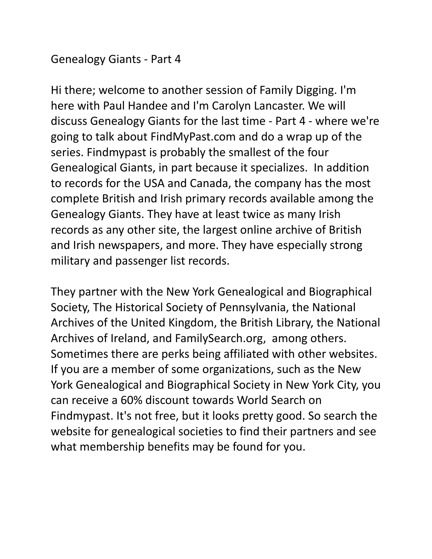### Genealogy Giants - Part 4

Hi there; welcome to another session of Family Digging. I'm here with Paul Handee and I'm Carolyn Lancaster. We will discuss Genealogy Giants for the last time - Part 4 - where we're going to talk about FindMyPast.com and do a wrap up of the series. Findmypast is probably the smallest of the four Genealogical Giants, in part because it specializes. In addition to records for the USA and Canada, the company has the most complete British and Irish primary records available among the Genealogy Giants. They have at least twice as many Irish records as any other site, the largest online archive of British and Irish newspapers, and more. They have especially strong military and passenger list records.

They partner with the New York Genealogical and Biographical Society, The Historical Society of Pennsylvania, the National Archives of the United Kingdom, the British Library, the National Archives of Ireland, and FamilySearch.org, among others. Sometimes there are perks being affiliated with other websites. If you are a member of some organizations, such as the New York Genealogical and Biographical Society in New York City, you can receive a 60% discount towards World Search on Findmypast. It's not free, but it looks pretty good. So search the website for genealogical societies to find their partners and see what membership benefits may be found for you.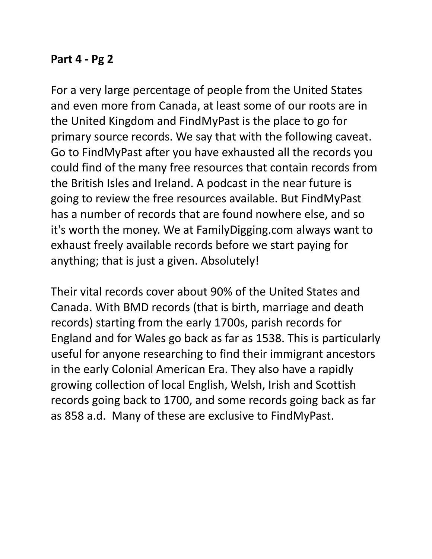# **Part 4 - Pg 2**

For a very large percentage of people from the United States and even more from Canada, at least some of our roots are in the United Kingdom and FindMyPast is the place to go for primary source records. We say that with the following caveat. Go to FindMyPast after you have exhausted all the records you could find of the many free resources that contain records from the British Isles and Ireland. A podcast in the near future is going to review the free resources available. But FindMyPast has a number of records that are found nowhere else, and so it's worth the money. We at FamilyDigging.com always want to exhaust freely available records before we start paying for anything; that is just a given. Absolutely!

Their vital records cover about 90% of the United States and Canada. With BMD records (that is birth, marriage and death records) starting from the early 1700s, parish records for England and for Wales go back as far as 1538. This is particularly useful for anyone researching to find their immigrant ancestors in the early Colonial American Era. They also have a rapidly growing collection of local English, Welsh, Irish and Scottish records going back to 1700, and some records going back as far as 858 a.d. Many of these are exclusive to FindMyPast.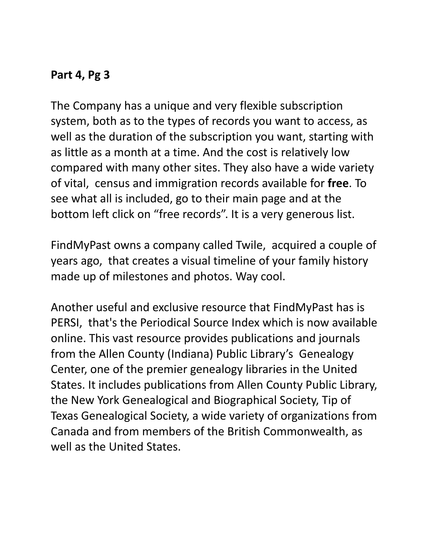The Company has a unique and very flexible subscription system, both as to the types of records you want to access, as well as the duration of the subscription you want, starting with as little as a month at a time. And the cost is relatively low compared with many other sites. They also have a wide variety of vital, census and immigration records available for **free**. To see what all is included, go to their main page and at the bottom left click on "free records". It is a very generous list.

FindMyPast owns a company called Twile, acquired a couple of years ago, that creates a visual timeline of your family history made up of milestones and photos. Way cool.

Another useful and exclusive resource that FindMyPast has is PERSI, that's the Periodical Source Index which is now available online. This vast resource provides publications and journals from the Allen County (Indiana) Public Library's Genealogy Center, one of the premier genealogy libraries in the United States. It includes publications from Allen County Public Library, the New York Genealogical and Biographical Society, Tip of Texas Genealogical Society, a wide variety of organizations from Canada and from members of the British Commonwealth, as well as the United States.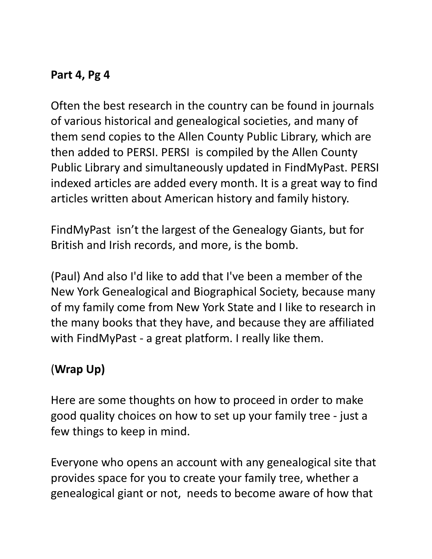Often the best research in the country can be found in journals of various historical and genealogical societies, and many of them send copies to the Allen County Public Library, which are then added to PERSI. PERSI is compiled by the Allen County Public Library and simultaneously updated in FindMyPast. PERSI indexed articles are added every month. It is a great way to find articles written about American history and family history.

FindMyPast isn't the largest of the Genealogy Giants, but for British and Irish records, and more, is the bomb.

(Paul) And also I'd like to add that I've been a member of the New York Genealogical and Biographical Society, because many of my family come from New York State and I like to research in the many books that they have, and because they are affiliated with FindMyPast - a great platform. I really like them.

# (**Wrap Up)**

Here are some thoughts on how to proceed in order to make good quality choices on how to set up your family tree - just a few things to keep in mind.

Everyone who opens an account with any genealogical site that provides space for you to create your family tree, whether a genealogical giant or not, needs to become aware of how that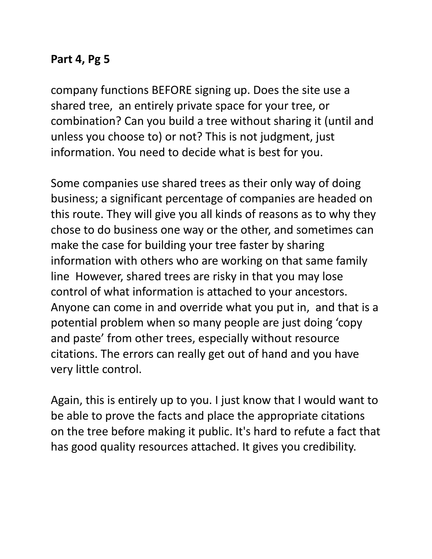company functions BEFORE signing up. Does the site use a shared tree, an entirely private space for your tree, or combination? Can you build a tree without sharing it (until and unless you choose to) or not? This is not judgment, just information. You need to decide what is best for you.

Some companies use shared trees as their only way of doing business; a significant percentage of companies are headed on this route. They will give you all kinds of reasons as to why they chose to do business one way or the other, and sometimes can make the case for building your tree faster by sharing information with others who are working on that same family line However, shared trees are risky in that you may lose control of what information is attached to your ancestors. Anyone can come in and override what you put in, and that is a potential problem when so many people are just doing 'copy and paste' from other trees, especially without resource citations. The errors can really get out of hand and you have very little control.

Again, this is entirely up to you. I just know that I would want to be able to prove the facts and place the appropriate citations on the tree before making it public. It's hard to refute a fact that has good quality resources attached. It gives you credibility.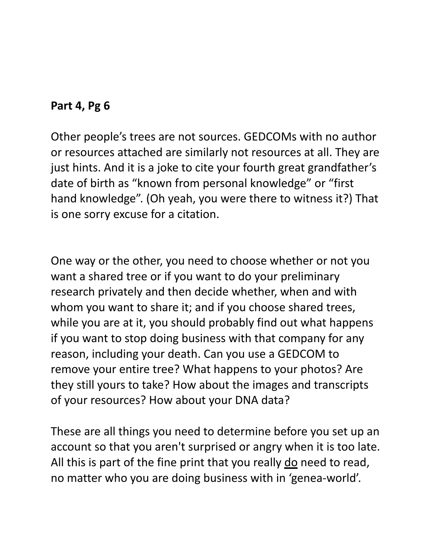Other people's trees are not sources. GEDCOMs with no author or resources attached are similarly not resources at all. They are just hints. And it is a joke to cite your fourth great grandfather's date of birth as "known from personal knowledge" or "first hand knowledge". (Oh yeah, you were there to witness it?) That is one sorry excuse for a citation.

One way or the other, you need to choose whether or not you want a shared tree or if you want to do your preliminary research privately and then decide whether, when and with whom you want to share it; and if you choose shared trees, while you are at it, you should probably find out what happens if you want to stop doing business with that company for any reason, including your death. Can you use a GEDCOM to remove your entire tree? What happens to your photos? Are they still yours to take? How about the images and transcripts of your resources? How about your DNA data?

These are all things you need to determine before you set up an account so that you aren't surprised or angry when it is too late. All this is part of the fine print that you really do need to read, no matter who you are doing business with in 'genea-world'.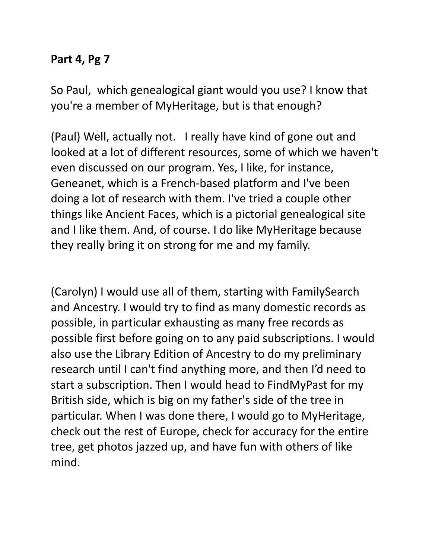So Paul, which genealogical giant would you use? I know that you're a member of MyHeritage, but is that enough?

(Paul) Well, actually not. I really have kind of gone out and looked at a lot of different resources, some of which we haven't even discussed on our program. Yes, I like, for instance, Geneanet, which is a French-based platform and I've been doing a lot of research with them. I've tried a couple other things like Ancient Faces, which is a pictorial genealogical site and I like them. And, of course. I do like MyHeritage because they really bring it on strong for me and my family.

(Carolyn) I would use all of them, starting with FamilySearch and Ancestry. I would try to find as many domestic records as possible, in particular exhausting as many free records as possible first before going on to any paid subscriptions. I would also use the Library Edition of Ancestry to do my preliminary research until I can't find anything more, and then I'd need to start a subscription. Then I would head to FindMyPast for my British side, which is big on my father's side of the tree in particular. When I was done there, I would go to MyHeritage, check out the rest of Europe, check for accuracy for the entire tree, get photos jazzed up, and have fun with others of like mind.